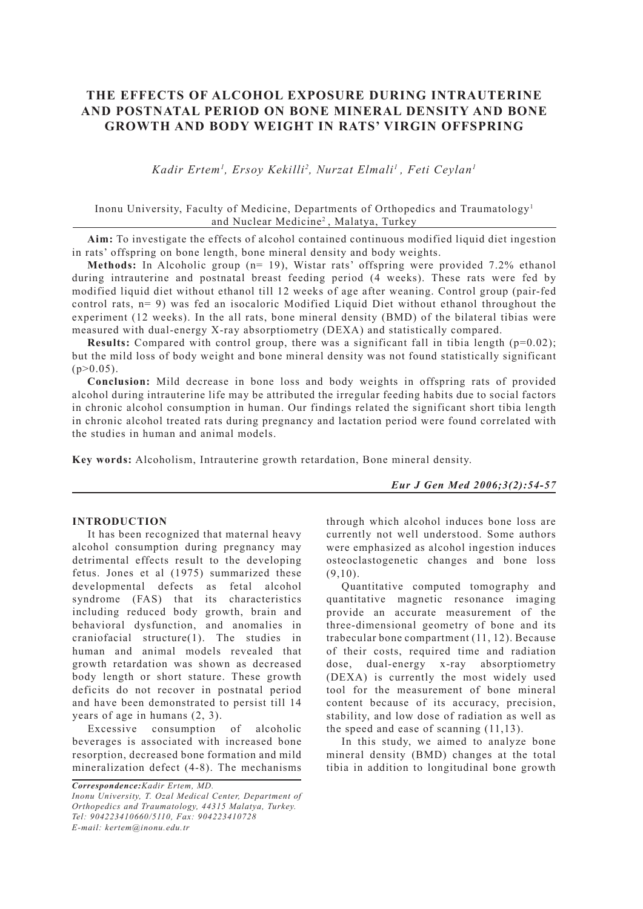# **THE EFFECTS OF ALCOHOL EXPOSURE DURING INTRAUTERINE AND POSTNATAL PERIOD ON BONE MINERAL DENSITY AND BONE GROWTH AND BODY WEIGHT IN RATS' VIRGIN OFFSPRING**

*Kadir Ertem1 , Ersoy Kekilli2 , Nurzat Elmali1 , Feti Ceylan1*

# Inonu University, Faculty of Medicine, Departments of Orthopedics and Traumatology1 and Nuclear Medicine2 , Malatya, Turkey

**Aim:** To investigate the effects of alcohol contained continuous modified liquid diet ingestion in rats' offspring on bone length, bone mineral density and body weights.

**Methods:** In Alcoholic group (n= 19), Wistar rats' offspring were provided 7.2% ethanol during intrauterine and postnatal breast feeding period (4 weeks). These rats were fed by modified liquid diet without ethanol till 12 weeks of age after weaning. Control group (pair-fed control rats, n= 9) was fed an isocaloric Modified Liquid Diet without ethanol throughout the experiment (12 weeks). In the all rats, bone mineral density (BMD) of the bilateral tibias were measured with dual-energy X-ray absorptiometry (DEXA) and statistically compared.

**Results:** Compared with control group, there was a significant fall in tibia length  $(p=0.02)$ ; but the mild loss of body weight and bone mineral density was not found statistically significant  $(p>0.05)$ .

**Conclusion:** Mild decrease in bone loss and body weights in offspring rats of provided alcohol during intrauterine life may be attributed the irregular feeding habits due to social factors in chronic alcohol consumption in human. Our findings related the significant short tibia length in chronic alcohol treated rats during pregnancy and lactation period were found correlated with the studies in human and animal models.

**Key words:** Alcoholism, Intrauterine growth retardation, Bone mineral density.

#### *Eur J Gen Med 2006;3(2):54-57*

# **INTRODUCTION**

It has been recognized that maternal heavy alcohol consumption during pregnancy may detrimental effects result to the developing fetus. Jones et al (1975) summarized these developmental defects as fetal alcohol syndrome (FAS) that its characteristics including reduced body growth, brain and behavioral dysfunction, and anomalies in craniofacial structure(1). The studies in human and animal models revealed that growth retardation was shown as decreased body length or short stature. These growth deficits do not recover in postnatal period and have been demonstrated to persist till 14 years of age in humans (2, 3).

Excessive consumption of alcoholic beverages is associated with increased bone resorption, decreased bone formation and mild mineralization defect (4-8). The mechanisms

*Correspondence:Kadir Ertem, MD. Inonu University, T. Ozal Medical Center, Department of Orthopedics and Traumatology, 44315 Malatya, Turkey. Tel: 904223410660/5110, Fax: 904223410728 E-mail: kertem@inonu.edu.tr*

through which alcohol induces bone loss are currently not well understood. Some authors were emphasized as alcohol ingestion induces osteoclastogenetic changes and bone loss  $(9,10)$ .

Quantitative computed tomography and quantitative magnetic resonance imaging provide an accurate measurement of the three-dimensional geometry of bone and its trabecular bone compartment (11, 12). Because of their costs, required time and radiation dose, dual-energy x-ray absorptiometry (DEXA) is currently the most widely used tool for the measurement of bone mineral content because of its accuracy, precision, stability, and low dose of radiation as well as the speed and ease of scanning (11,13).

In this study, we aimed to analyze bone mineral density (BMD) changes at the total tibia in addition to longitudinal bone growth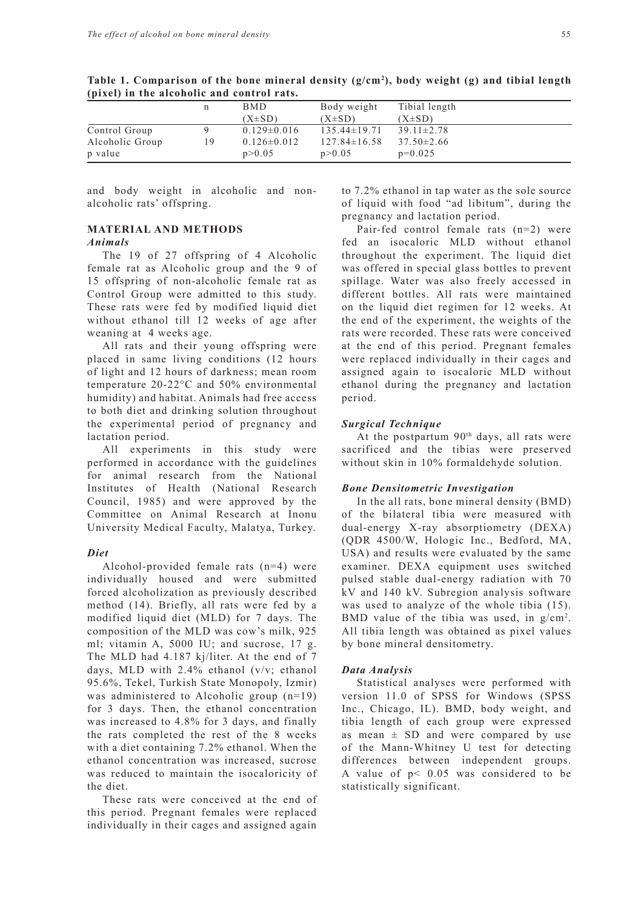| $\lambda$       |    |                   |                    |                  |
|-----------------|----|-------------------|--------------------|------------------|
|                 | n  | <b>BMD</b>        | Body weight        | Tibial length    |
|                 |    | $(X\pm SD)$       | $(X\pm SD)$        | $(X\pm SD)$      |
| Control Group   |    | $0.129 \pm 0.016$ | $135.44 \pm 19.71$ | $39.11 \pm 2.78$ |
| Alcoholic Group | 19 | $0.126 \pm 0.012$ | $127.84 \pm 16.58$ | $37.50 \pm 2.66$ |
| p value         |    | p > 0.05          | p > 0.05           | $p=0.025$        |

**Table 1. Comparison of the bone mineral density (g/cm2 ), body weight (g) and tibial length (pixel) in the alcoholic and control rats.** 

and body weight in alcoholic and nonalcoholic rats' offspring.

# **MATERIAL AND METHODS**

## *Animals*

The 19 of 27 offspring of 4 Alcoholic female rat as Alcoholic group and the 9 of 15 offspring of non-alcoholic female rat as Control Group were admitted to this study. These rats were fed by modified liquid diet without ethanol till 12 weeks of age after weaning at 4 weeks age.

All rats and their young offspring were placed in same living conditions (12 hours of light and 12 hours of darkness; mean room temperature 20-22°C and 50% environmental humidity) and habitat. Animals had free access to both diet and drinking solution throughout the experimental period of pregnancy and lactation period.

All experiments in this study were performed in accordance with the guidelines for animal research from the National Institutes of Health (National Research Council, 1985) and were approved by the Committee on Animal Research at Inonu University Medical Faculty, Malatya, Turkey.

#### *Diet*

Alcohol-provided female rats (n=4) were individually housed and were submitted forced alcoholization as previously described method (14). Briefly, all rats were fed by a modified liquid diet (MLD) for 7 days. The composition of the MLD was cow's milk, 925 ml; vitamin A, 5000 IU; and sucrose, 17 g. The MLD had 4.187 kj/liter. At the end of 7 days, MLD with 2.4% ethanol (v/v; ethanol 95.6%, Tekel, Turkish State Monopoly, Izmir) was administered to Alcoholic group (n=19) for 3 days. Then, the ethanol concentration was increased to 4.8% for 3 days, and finally the rats completed the rest of the 8 weeks with a diet containing 7.2% ethanol. When the ethanol concentration was increased, sucrose was reduced to maintain the isocaloricity of the diet.

These rats were conceived at the end of this period. Pregnant females were replaced individually in their cages and assigned again

to 7.2% ethanol in tap water as the sole source of liquid with food "ad libitum", during the pregnancy and lactation period.

Pair-fed control female rats (n=2) were fed an isocaloric MLD without ethanol throughout the experiment. The liquid diet was offered in special glass bottles to prevent spillage. Water was also freely accessed in different bottles. All rats were maintained on the liquid diet regimen for 12 weeks. At the end of the experiment, the weights of the rats were recorded. These rats were conceived at the end of this period. Pregnant females were replaced individually in their cages and assigned again to isocaloric MLD without ethanol during the pregnancy and lactation period.

#### *Surgical Technique*

At the postpartum  $90<sup>th</sup>$  days, all rats were sacrificed and the tibias were preserved without skin in 10% formaldehyde solution.

# *Bone Densitometric Investigation*

In the all rats, bone mineral density (BMD) of the bilateral tibia were measured with dual-energy X-ray absorptiometry (DEXA) (QDR 4500/W, Hologic Inc., Bedford, MA, USA) and results were evaluated by the same examiner. DEXA equipment uses switched pulsed stable dual-energy radiation with 70 kV and 140 kV. Subregion analysis software was used to analyze of the whole tibia (15). BMD value of the tibia was used, in  $g/cm^2$ . All tibia length was obtained as pixel values by bone mineral densitometry.

## *Data Analysis*

Statistical analyses were performed with version 11.0 of SPSS for Windows (SPSS Inc., Chicago, IL). BMD, body weight, and tibia length of each group were expressed as mean  $\pm$  SD and were compared by use of the Mann-Whitney U test for detecting differences between independent groups. A value of  $p < 0.05$  was considered to be statistically significant.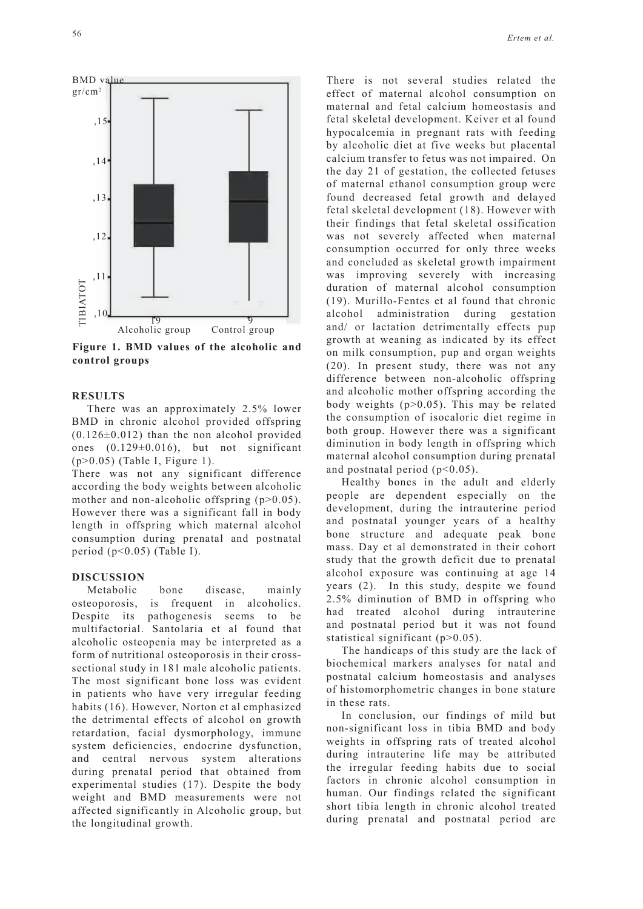

**Figure 1. BMD values of the alcoholic and control groups**

## **RESULTS**

There was an approximately 2.5% lower BMD in chronic alcohol provided offspring  $(0.126\pm0.012)$  than the non alcohol provided ones (0.129±0.016), but not significant (p>0.05) (Table I, Figure 1).

There was not any significant difference according the body weights between alcoholic mother and non-alcoholic offspring (p>0.05). However there was a significant fall in body length in offspring which maternal alcohol consumption during prenatal and postnatal period (p<0.05) (Table I).

#### **DISCUSSION**

Metabolic bone disease, mainly osteoporosis, is frequent in alcoholics. Despite its pathogenesis seems to be multifactorial. Santolaria et al found that alcoholic osteopenia may be interpreted as a form of nutritional osteoporosis in their crosssectional study in 181 male alcoholic patients. The most significant bone loss was evident in patients who have very irregular feeding habits (16). However, Norton et al emphasized the detrimental effects of alcohol on growth retardation, facial dysmorphology, immune system deficiencies, endocrine dysfunction, and central nervous system alterations during prenatal period that obtained from experimental studies (17). Despite the body weight and BMD measurements were not affected significantly in Alcoholic group, but the longitudinal growth.

There is not several studies related the effect of maternal alcohol consumption on maternal and fetal calcium homeostasis and fetal skeletal development. Keiver et al found hypocalcemia in pregnant rats with feeding by alcoholic diet at five weeks but placental calcium transfer to fetus was not impaired. On the day 21 of gestation, the collected fetuses of maternal ethanol consumption group were found decreased fetal growth and delayed fetal skeletal development (18). However with their findings that fetal skeletal ossification was not severely affected when maternal consumption occurred for only three weeks and concluded as skeletal growth impairment was improving severely with increasing duration of maternal alcohol consumption (19). Murillo-Fentes et al found that chronic alcohol administration during gestation and/ or lactation detrimentally effects pup growth at weaning as indicated by its effect on milk consumption, pup and organ weights (20). In present study, there was not any difference between non-alcoholic offspring and alcoholic mother offspring according the body weights (p>0.05). This may be related the consumption of isocaloric diet regime in both group. However there was a significant diminution in body length in offspring which maternal alcohol consumption during prenatal and postnatal period  $(p<0.05)$ .

Healthy bones in the adult and elderly people are dependent especially on the development, during the intrauterine period and postnatal younger years of a healthy bone structure and adequate peak bone mass. Day et al demonstrated in their cohort study that the growth deficit due to prenatal alcohol exposure was continuing at age 14 years (2). In this study, despite we found 2.5% diminution of BMD in offspring who had treated alcohol during intrauterine and postnatal period but it was not found statistical significant (p>0.05).

The handicaps of this study are the lack of biochemical markers analyses for natal and postnatal calcium homeostasis and analyses of histomorphometric changes in bone stature in these rats.

In conclusion, our findings of mild but non-significant loss in tibia BMD and body weights in offspring rats of treated alcohol during intrauterine life may be attributed the irregular feeding habits due to social factors in chronic alcohol consumption in human. Our findings related the significant short tibia length in chronic alcohol treated during prenatal and postnatal period are